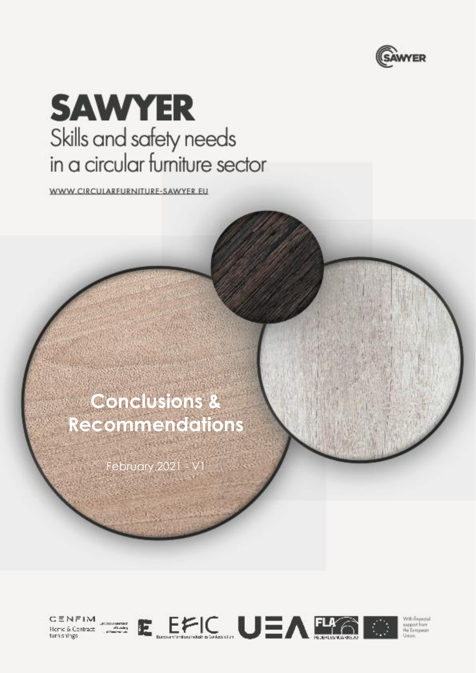

# **SAWYER** Skills and safety needs in a circular furniture sector

WWW.CIRCULARFURNITURE-SAWYER\_EU

## **Conclusions & Recommendations**

February 2021 -







With Grandal support from<br>the European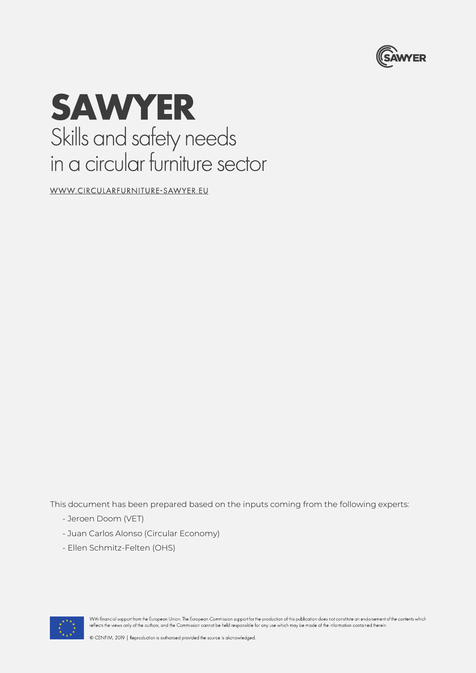

## **SAWYER** Skills and safety needs in a circular furniture sector

WWW.CIRCULARFURNITURE-SAWYER.EU

This document has been prepared based on the inputs coming from the following experts:

- Jeroen Doom (VET)
- Juan Carlos Alonso (Circular Economy)
- Ellen Schmitz-Felten (OHS)



With financial support from the European Union. The European Commission support for the production of this publication does not constitute an endorsement of the contents which reflects the views only of the authors, and the Commission cannot be held responsible for any use which may be made of the information contained therein.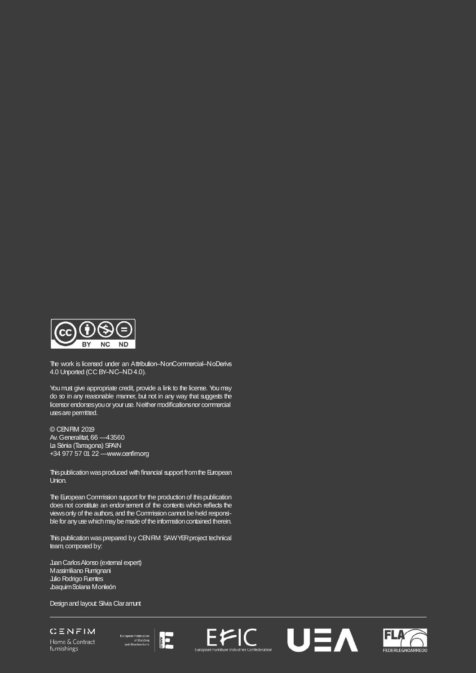

The work is licensed under an Attribution–NonCommercial–NoDerivs 4.0 Unported (CC BY–NC–ND 4.0).

You must give appropriate credit, provide a link to the license. You may do so in any reasonable manner, but not in any way that suggests the licensor endorses you or your use. Neither modifications nor commercial uses are permitted.

© CENFIM 2019 Av. Generalitat, 66 — 43560 La Sénia (Tarragona) SPAIN +34 977 57 01 22 — www.cenfim.org

This publication was produced with financial support from the European Union.

The European Commission support for the production of this publication does not constitute an endorsement of the contents which reflects the views only of the authors, and the Commission cannot be held responsible for any use which may be made of the information contained therein.

This publication was prepared by CENFIM SAWYER project technical team, composed by:

Juan Carlos Alonso (external expert) Massimiliano Rumignani Julio Rodrigo Fuentes Joaquim Solana Monleón

Design and layout: Silvia Claramunt

CENFIM Home & Contract furnishings







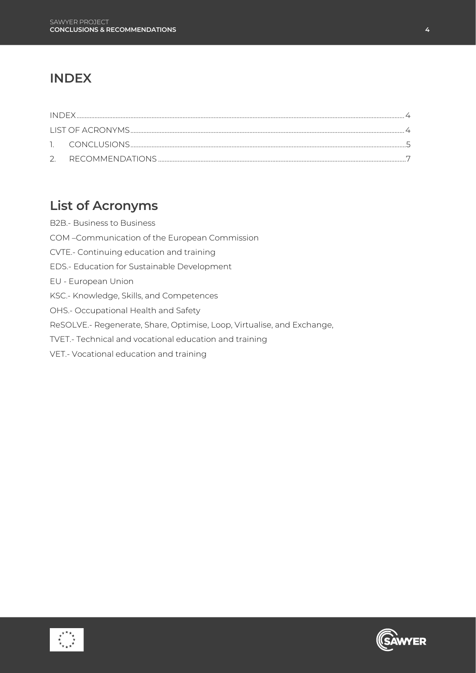### <span id="page-3-0"></span>**INDEX**

## <span id="page-3-1"></span>**List of Acronyms**

B2B.- Business to Business COM –Communication of the European Commission CVTE.- Continuing education and training EDS.- Education for Sustainable Development EU - European Union KSC.- Knowledge, Skills, and Competences OHS.- Occupational Health and Safety ReSOLVE.- Regenerate, Share, Optimise, Loop, Virtualise, and Exchange, TVET.- Technical and vocational education and training VET.- Vocational education and training



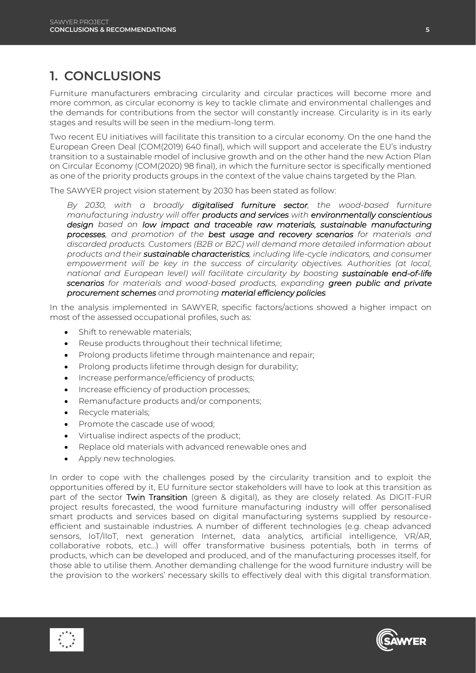## <span id="page-4-0"></span>**1. CONCLUSIONS**

Furniture manufacturers embracing circularity and circular practices will become more and more common, as circular economy is key to tackle climate and environmental challenges and the demands for contributions from the sector will constantly increase. Circularity is in its early stages and results will be seen in the medium-long term.

Two recent EU initiatives will facilitate this transition to a circular economy. On the one hand the European Green Deal (COM(2019) 640 final), which will support and accelerate the EU's industry transition to a sustainable model of inclusive growth and on the other hand the new Action Plan on Circular Economy (COM(2020) 98 final), in which the furniture sector is specifically mentioned as one of the priority products groups in the context of the value chains targeted by the Plan.

The SAWYER project vision statement by 2030 has been stated as follow:

By 2030, with a broadly digitalised furniture sector, the wood-based furniture *manufacturing industry will offer products and services with environmentally conscientious design based on low impact and traceable raw materials, sustainable manufacturing processes, and promotion of the best usage and recovery scenarios for materials and discarded products. Customers (B2B or B2C) will demand more detailed information about products and their sustainable characteristics, including life-cycle indicators, and consumer empowerment will be key in the success of circularity objectives. Authorities (at local, national and European level) will facilitate circularity by boosting sustainable end-of-life scenarios for materials and wood-based products, expanding green public and private procurement schemes and promoting material efficiency policies.* 

In the analysis implemented in SAWYER, specific factors/actions showed a higher impact on most of the assessed occupational profiles, such as:

- Shift to renewable materials;
- Reuse products throughout their technical lifetime;
- Prolong products lifetime through maintenance and repair;
- Prolong products lifetime through design for durability;
- Increase performance/efficiency of products;
- Increase efficiency of production processes;
- Remanufacture products and/or components;
- Recycle materials;
- Promote the cascade use of wood;
- Virtualise indirect aspects of the product;
- Replace old materials with advanced renewable ones and
- Apply new technologies.

In order to cope with the challenges posed by the circularity transition and to exploit the opportunities offered by it, EU furniture sector stakeholders will have to look at this transition as part of the sector Twin Transition (green & digital), as they are closely related. As DIGIT-FUR project results forecasted, the wood furniture manufacturing industry will offer personalised smart products and services based on digital manufacturing systems supplied by resourceefficient and sustainable industries. A number of different technologies (e.g. cheap advanced sensors, IoT/IIoT, next generation Internet, data analytics, artificial intelligence, VR/AR, collaborative robots, etc...) will offer transformative business potentials, both in terms of products, which can be developed and produced, and of the manufacturing processes itself, for those able to utilise them. Another demanding challenge for the wood furniture industry will be the provision to the workers' necessary skills to effectively deal with this digital transformation.



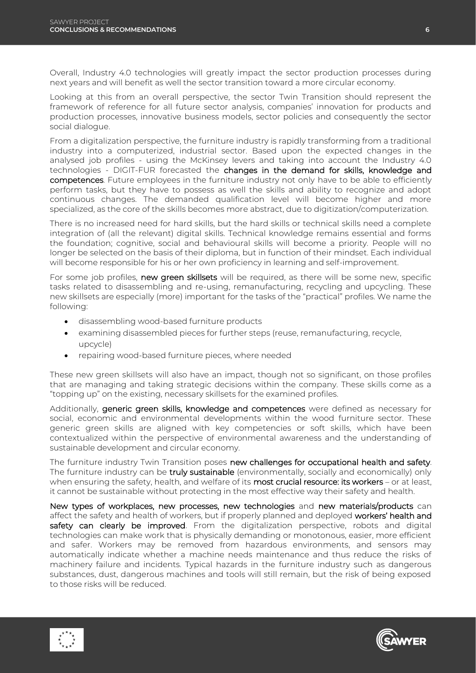Overall, Industry 4.0 technologies will greatly impact the sector production processes during next years and will benefit as well the sector transition toward a more circular economy.

Looking at this from an overall perspective, the sector Twin Transition should represent the framework of reference for all future sector analysis, companies' innovation for products and production processes, innovative business models, sector policies and consequently the sector social dialogue.

From a digitalization perspective, the furniture industry is rapidly transforming from a traditional industry into a computerized, industrial sector. Based upon the expected changes in the analysed job profiles - using the McKinsey levers and taking into account the Industry 4.0 technologies - DIGIT-FUR forecasted the changes in the demand for skills, knowledge and competences. Future employees in the furniture industry not only have to be able to efficiently perform tasks, but they have to possess as well the skills and ability to recognize and adopt continuous changes. The demanded qualification level will become higher and more specialized, as the core of the skills becomes more abstract, due to digitization/computerization.

There is no increased need for hard skills, but the hard skills or technical skills need a complete integration of (all the relevant) digital skills. Technical knowledge remains essential and forms the foundation; cognitive, social and behavioural skills will become a priority. People will no longer be selected on the basis of their diploma, but in function of their mindset. Each individual will become responsible for his or her own proficiency in learning and self-improvement.

For some job profiles, new green skillsets will be required, as there will be some new, specific tasks related to disassembling and re-using, remanufacturing, recycling and upcycling. These new skillsets are especially (more) important for the tasks of the "practical" profiles. We name the following:

- disassembling wood-based furniture products
- examining disassembled pieces for further steps (reuse, remanufacturing, recycle, upcycle)
- repairing wood-based furniture pieces, where needed

These new green skillsets will also have an impact, though not so significant, on those profiles that are managing and taking strategic decisions within the company. These skills come as a "topping up" on the existing, necessary skillsets for the examined profiles.

Additionally, generic green skills, knowledge and competences were defined as necessary for social, economic and environmental developments within the wood furniture sector. These generic green skills are aligned with key competencies or soft skills, which have been contextualized within the perspective of environmental awareness and the understanding of sustainable development and circular economy.

The furniture industry Twin Transition poses new challenges for occupational health and safety. The furniture industry can be truly sustainable (environmentally, socially and economically) only when ensuring the safety, health, and welfare of its most crucial resource: its workers – or at least, it cannot be sustainable without protecting in the most effective way their safety and health.

New types of workplaces, new processes, new technologies and new materials/products can affect the safety and health of workers, but if properly planned and deployed workers' health and safety can clearly be improved. From the digitalization perspective, robots and digital technologies can make work that is physically demanding or monotonous, easier, more efficient and safer. Workers may be removed from hazardous environments, and sensors may automatically indicate whether a machine needs maintenance and thus reduce the risks of machinery failure and incidents. Typical hazards in the furniture industry such as dangerous substances, dust, dangerous machines and tools will still remain, but the risk of being exposed to those risks will be reduced.



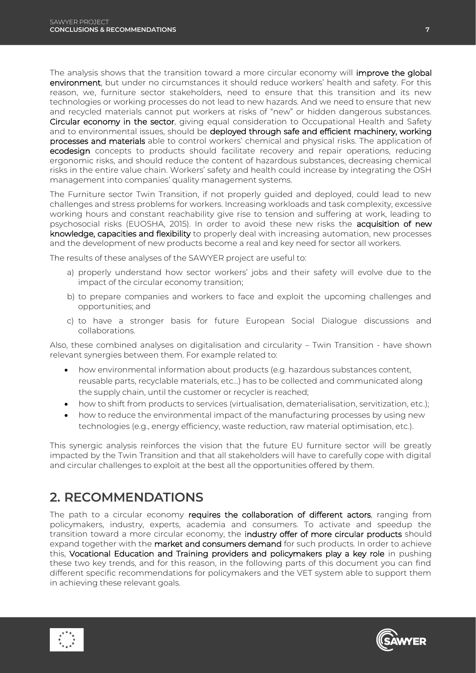The analysis shows that the transition toward a more circular economy will **improve the global** environment, but under no circumstances it should reduce workers' health and safety. For this reason, we, furniture sector stakeholders, need to ensure that this transition and its new technologies or working processes do not lead to new hazards. And we need to ensure that new and recycled materials cannot put workers at risks of "new" or hidden dangerous substances. Circular economy in the sector, giving equal consideration to Occupational Health and Safety and to environmental issues, should be deployed through safe and efficient machinery, working processes and materials able to control workers' chemical and physical risks. The application of ecodesign concepts to products should facilitate recovery and repair operations, reducing ergonomic risks, and should reduce the content of hazardous substances, decreasing chemical risks in the entire value chain. Workers' safety and health could increase by integrating the OSH management into companies' quality management systems.

The Furniture sector Twin Transition, if not properly guided and deployed, could lead to new challenges and stress problems for workers. Increasing workloads and task complexity, excessive working hours and constant reachability give rise to tension and suffering at work, leading to psychosocial risks (EUOSHA, 2015). In order to avoid these new risks the acquisition of new knowledge, capacities and flexibility to properly deal with increasing automation, new processes and the development of new products become a real and key need for sector all workers.

The results of these analyses of the SAWYER project are useful to:

- a) properly understand how sector workers' jobs and their safety will evolve due to the impact of the circular economy transition;
- b) to prepare companies and workers to face and exploit the upcoming challenges and opportunities; and
- c) to have a stronger basis for future European Social Dialogue discussions and collaborations.

Also, these combined analyses on digitalisation and circularity – Twin Transition - have shown relevant synergies between them. For example related to:

- how environmental information about products (e.g. hazardous substances content, reusable parts, recyclable materials, etc…) has to be collected and communicated along the supply chain, until the customer or recycler is reached;
- how to shift from products to services (virtualisation, dematerialisation, servitization, etc.);
- how to reduce the environmental impact of the manufacturing processes by using new technologies (e.g., energy efficiency, waste reduction, raw material optimisation, etc.).

This synergic analysis reinforces the vision that the future EU furniture sector will be greatly impacted by the Twin Transition and that all stakeholders will have to carefully cope with digital and circular challenges to exploit at the best all the opportunities offered by them.

### <span id="page-6-0"></span>**2. RECOMMENDATIONS**

The path to a circular economy requires the collaboration of different actors, ranging from policymakers, industry, experts, academia and consumers. To activate and speedup the transition toward a more circular economy, the industry offer of more circular products should expand together with the market and consumers demand for such products. In order to achieve this, Vocational Education and Training providers and policymakers play a key role in pushing these two key trends, and for this reason, in the following parts of this document you can find different specific recommendations for policymakers and the VET system able to support them in achieving these relevant goals.



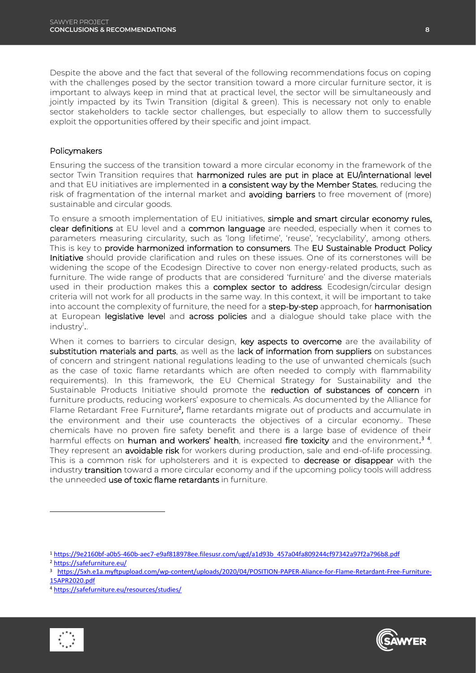Despite the above and the fact that several of the following recommendations focus on coping with the challenges posed by the sector transition toward a more circular furniture sector, it is important to always keep in mind that at practical level, the sector will be simultaneously and jointly impacted by its Twin Transition (digital & green). This is necessary not only to enable sector stakeholders to tackle sector challenges, but especially to allow them to successfully exploit the opportunities offered by their specific and joint impact.

#### Policymakers

Ensuring the success of the transition toward a more circular economy in the framework of the sector Twin Transition requires that harmonized rules are put in place at EU/international level and that EU initiatives are implemented in a consistent way by the Member States, reducing the risk of fragmentation of the internal market and **avoiding barriers** to free movement of (more) sustainable and circular goods.

To ensure a smooth implementation of EU initiatives, simple and smart circular economy rules, clear definitions at EU level and a common language are needed, especially when it comes to parameters measuring circularity, such as 'long lifetime', 'reuse', 'recyclability', among others. This is key to provide harmonized information to consumers. The EU Sustainable Product Policy Initiative should provide clarification and rules on these issues. One of its cornerstones will be widening the scope of the Ecodesign Directive to cover non energy-related products, such as furniture. The wide range of products that are considered 'furniture' and the diverse materials used in their production makes this a complex sector to address. Ecodesign/circular design criteria will not work for all products in the same way. In this context, it will be important to take into account the complexity of furniture, the need for a **step-by-step** approach, for **harmonisation** at European legislative level and across policies and a dialogue should take place with the industry<sup>1</sup>..

When it comes to barriers to circular design, key aspects to overcome are the availability of substitution materials and parts, as well as the lack of information from suppliers on substances of concern and stringent national regulations leading to the use of unwanted chemicals (such as the case of toxic flame retardants which are often needed to comply with flammability requirements). In this framework, the EU Chemical Strategy for Sustainability and the Sustainable Products Initiative should promote the reduction of substances of concern in furniture products, reducing workers' exposure to chemicals. As documented by the Alliance for Flame Retardant Free Furniture<sup>2</sup>, flame retardants migrate out of products and accumulate in the environment and their use counteracts the objectives of a circular economy.. These chemicals have no proven fire safety benefit and there is a large base of evidence of their harmful effects on human and workers' health, increased fire toxicity and the environment.<sup>34</sup>. They represent an **avoidable risk** for workers during production, sale and end-of-life processing. This is a common risk for upholsterers and it is expected to decrease or disappear with the industry transition toward a more circular economy and if the upcoming policy tools will address the unneeded use of toxic flame retardants in furniture.

<sup>4</sup> <https://safefurniture.eu/resources/studies/>



-



<sup>1</sup> [https://9e2160bf-a0b5-460b-aec7-e9af818978ee.filesusr.com/ugd/a1d93b\\_457a04fa809244cf97342a97f2a796b8.pdf](https://9e2160bf-a0b5-460b-aec7-e9af818978ee.filesusr.com/ugd/a1d93b_457a04fa809244cf97342a97f2a796b8.pdf)

<sup>2</sup> <https://safefurniture.eu/>

<sup>3</sup> [https://5xh.e1a.myftpupload.com/wp-content/uploads/2020/04/POSITION-PAPER-Aliance-for-Flame-Retardant-Free-Furniture-](https://5xh.e1a.myftpupload.com/wp-content/uploads/2020/04/POSITION-PAPER-Aliance-for-Flame-Retardant-Free-Furniture-15APR2020.pdf)[15APR2020.pdf](https://5xh.e1a.myftpupload.com/wp-content/uploads/2020/04/POSITION-PAPER-Aliance-for-Flame-Retardant-Free-Furniture-15APR2020.pdf)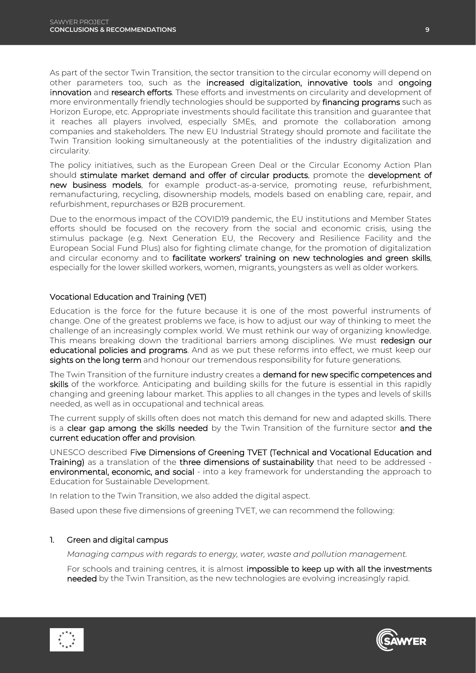As part of the sector Twin Transition, the sector transition to the circular economy will depend on other parameters too, such as the increased digitalization, innovative tools and ongoing innovation and research efforts. These efforts and investments on circularity and development of more environmentally friendly technologies should be supported by **financing programs** such as Horizon Europe, etc. Appropriate investments should facilitate this transition and guarantee that it reaches all players involved, especially SMEs, and promote the collaboration among companies and stakeholders. The new EU Industrial Strategy should promote and facilitate the Twin Transition looking simultaneously at the potentialities of the industry digitalization and circularity.

The policy initiatives, such as the European Green Deal or the Circular Economy Action Plan should stimulate market demand and offer of circular products, promote the development of new business models, for example product-as-a-service, promoting reuse, refurbishment, remanufacturing, recycling, disownership models, models based on enabling care, repair, and refurbishment, repurchases or B2B procurement.

Due to the enormous impact of the COVID19 pandemic, the EU institutions and Member States efforts should be focused on the recovery from the social and economic crisis, using the stimulus package (e.g. Next Generation EU, the Recovery and Resilience Facility and the European Social Fund Plus) also for fighting climate change, for the promotion of digitalization and circular economy and to facilitate workers' training on new technologies and green skills, especially for the lower skilled workers, women, migrants, youngsters as well as older workers.

#### Vocational Education and Training (VET)

Education is the force for the future because it is one of the most powerful instruments of change. One of the greatest problems we face, is how to adjust our way of thinking to meet the challenge of an increasingly complex world. We must rethink our way of organizing knowledge. This means breaking down the traditional barriers among disciplines. We must redesign our educational policies and programs. And as we put these reforms into effect, we must keep our sights on the long term and honour our tremendous responsibility for future generations.

The Twin Transition of the furniture industry creates a demand for new specific competences and skills of the workforce. Anticipating and building skills for the future is essential in this rapidly changing and greening labour market. This applies to all changes in the types and levels of skills needed, as well as in occupational and technical areas.

The current supply of skills often does not match this demand for new and adapted skills. There is a clear gap among the skills needed by the Twin Transition of the furniture sector and the current education offer and provision.

UNESCO described Five Dimensions of Greening TVET (Technical and Vocational Education and Training) as a translation of the three dimensions of sustainability that need to be addressed environmental, economic, and social - into a key framework for understanding the approach to Education for Sustainable Development.

In relation to the Twin Transition, we also added the digital aspect.

Based upon these five dimensions of greening TVET, we can recommend the following:

#### 1. Green and digital campus

*Managing campus with regards to energy, water, waste and pollution management.*

For schools and training centres, it is almost impossible to keep up with all the investments needed by the Twin Transition, as the new technologies are evolving increasingly rapid.



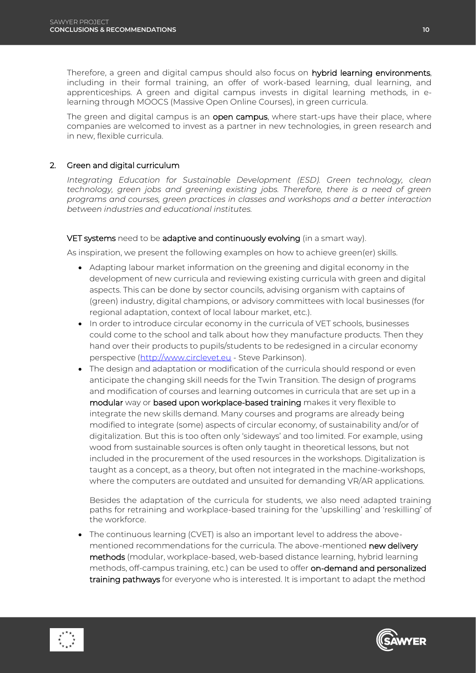Therefore, a green and digital campus should also focus on hybrid learning environments, including in their formal training, an offer of work-based learning, dual learning, and apprenticeships. A green and digital campus invests in digital learning methods, in elearning through MOOCS (Massive Open Online Courses), in green curricula.

The green and digital campus is an open campus, where start-ups have their place, where companies are welcomed to invest as a partner in new technologies, in green research and in new, flexible curricula.

#### 2. Green and digital curriculum

*Integrating Education for Sustainable Development (ESD). Green technology, clean technology, green jobs and greening existing jobs. Therefore, there is a need of green programs and courses, green practices in classes and workshops and a better interaction between industries and educational institutes.*

#### VET systems need to be adaptive and continuously evolving (in a smart way).

As inspiration, we present the following examples on how to achieve green(er) skills.

- Adapting labour market information on the greening and digital economy in the development of new curricula and reviewing existing curricula with green and digital aspects. This can be done by sector councils, advising organism with captains of (green) industry, digital champions, or advisory committees with local businesses (for regional adaptation, context of local labour market, etc.).
- In order to introduce circular economy in the curricula of VET schools, businesses could come to the school and talk about how they manufacture products. Then they hand over their products to pupils/students to be redesigned in a circular economy perspective [\(http://www.circlevet.eu](http://www.circlevet.eu/) - Steve Parkinson).
- The design and adaptation or modification of the curricula should respond or even anticipate the changing skill needs for the Twin Transition. The design of programs and modification of courses and learning outcomes in curricula that are set up in a modular way or based upon workplace-based training makes it very flexible to integrate the new skills demand. Many courses and programs are already being modified to integrate (some) aspects of circular economy, of sustainability and/or of digitalization. But this is too often only 'sideways' and too limited. For example, using wood from sustainable sources is often only taught in theoretical lessons, but not included in the procurement of the used resources in the workshops. Digitalization is taught as a concept, as a theory, but often not integrated in the machine-workshops, where the computers are outdated and unsuited for demanding VR/AR applications.

Besides the adaptation of the curricula for students, we also need adapted training paths for retraining and workplace-based training for the 'upskilling' and 'reskilling' of the workforce.

• The continuous learning (CVET) is also an important level to address the abovementioned recommendations for the curricula. The above-mentioned new delivery methods (modular, workplace-based, web-based distance learning, hybrid learning methods, off-campus training, etc.) can be used to offer on-demand and personalized training pathways for everyone who is interested. It is important to adapt the method



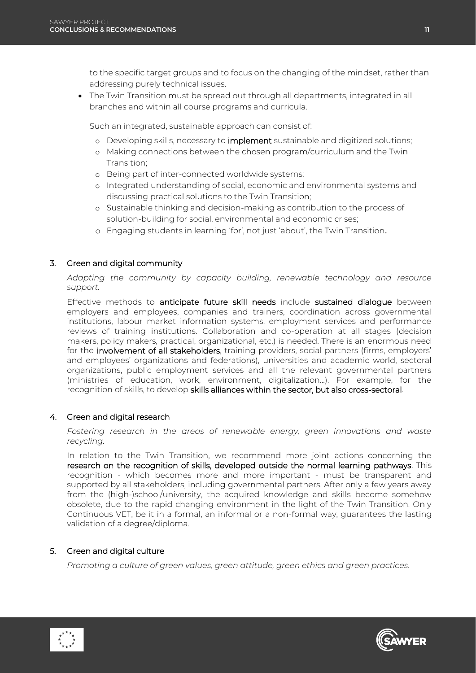to the specific target groups and to focus on the changing of the mindset, rather than addressing purely technical issues.

 The Twin Transition must be spread out through all departments, integrated in all branches and within all course programs and curricula.

Such an integrated, sustainable approach can consist of:

- o Developing skills, necessary to implement sustainable and digitized solutions;
- o Making connections between the chosen program/curriculum and the Twin Transition;
- o Being part of inter-connected worldwide systems;
- o Integrated understanding of social, economic and environmental systems and discussing practical solutions to the Twin Transition;
- o Sustainable thinking and decision-making as contribution to the process of solution-building for social, environmental and economic crises;
- o Engaging students in learning 'for', not just 'about', the Twin Transition.

#### 3. Green and digital community

*Adapting the community by capacity building, renewable technology and resource support.*

Effective methods to anticipate future skill needs include sustained dialogue between employers and employees, companies and trainers, coordination across governmental institutions, labour market information systems, employment services and performance reviews of training institutions. Collaboration and co-operation at all stages (decision makers, policy makers, practical, organizational, etc.) is needed. There is an enormous need for the involvement of all stakeholders, training providers, social partners (firms, employers' and employees' organizations and federations), universities and academic world, sectoral organizations, public employment services and all the relevant governmental partners (ministries of education, work, environment, digitalization…). For example, for the recognition of skills, to develop skills alliances within the sector, but also cross-sectoral.

#### 4. Green and digital research

*Fostering research in the areas of renewable energy, green innovations and waste recycling.*

In relation to the Twin Transition, we recommend more joint actions concerning the research on the recognition of skills, developed outside the normal learning pathways. This recognition - which becomes more and more important - must be transparent and supported by all stakeholders, including governmental partners. After only a few years away from the (high-)school/university, the acquired knowledge and skills become somehow obsolete, due to the rapid changing environment in the light of the Twin Transition. Only Continuous VET, be it in a formal, an informal or a non-formal way, guarantees the lasting validation of a degree/diploma.

#### 5. Green and digital culture

*Promoting a culture of green values, green attitude, green ethics and green practices.*



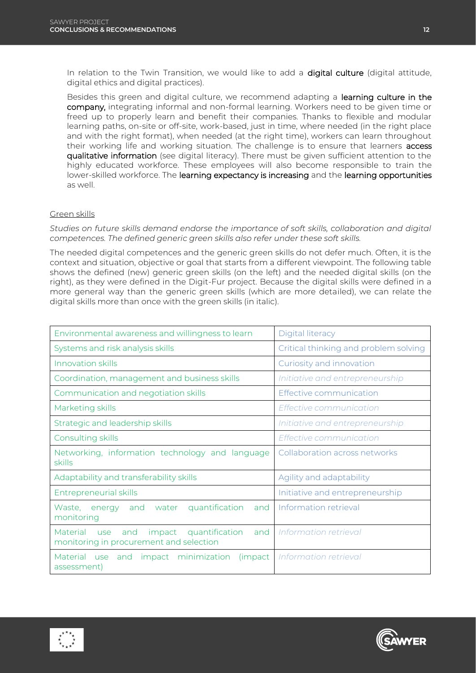In relation to the Twin Transition, we would like to add a digital culture (digital attitude, digital ethics and digital practices).

Besides this green and digital culture, we recommend adapting a learning culture in the company, integrating informal and non-formal learning. Workers need to be given time or freed up to properly learn and benefit their companies. Thanks to flexible and modular learning paths, on-site or off-site, work-based, just in time, where needed (in the right place and with the right format), when needed (at the right time), workers can learn throughout their working life and working situation. The challenge is to ensure that learners access qualitative information (see digital literacy). There must be given sufficient attention to the highly educated workforce. These employees will also become responsible to train the lower-skilled workforce. The learning expectancy is increasing and the learning opportunities as well.

#### Green skills

*Studies on future skills demand endorse the importance of soft skills, collaboration and digital competences. The defined generic green skills also refer under these soft skills.*

The needed digital competences and the generic green skills do not defer much. Often, it is the context and situation, objective or goal that starts from a different viewpoint. The following table shows the defined (new) generic green skills (on the left) and the needed digital skills (on the right), as they were defined in the Digit-Fur project. Because the digital skills were defined in a more general way than the generic green skills (which are more detailed), we can relate the digital skills more than once with the green skills (in italic).

| Environmental awareness and willingness to learn                                                     | <b>Digital literacy</b>               |
|------------------------------------------------------------------------------------------------------|---------------------------------------|
| Systems and risk analysis skills                                                                     | Critical thinking and problem solving |
| Innovation skills                                                                                    | Curiosity and innovation              |
| Coordination, management and business skills                                                         | Initiative and entrepreneurship       |
| Communication and negotiation skills                                                                 | Effective communication               |
| Marketing skills                                                                                     | Effective communication               |
| Strategic and leadership skills                                                                      | Initiative and entrepreneurship       |
| Consulting skills                                                                                    | Effective communication               |
| Networking, information technology and language<br>skills                                            | Collaboration across networks         |
| Adaptability and transferability skills                                                              | Agility and adaptability              |
| <b>Entrepreneurial skills</b>                                                                        | Initiative and entrepreneurship       |
| quantification<br>Waste, energy<br>and water<br>and<br>monitoring                                    | Information retrieval                 |
| Material<br>and<br>quantification<br>impact<br>and<br>use<br>monitoring in procurement and selection | Information retrieval                 |
| impact minimization (impact<br>Material use<br>and<br>assessment)                                    | Information retrieval                 |